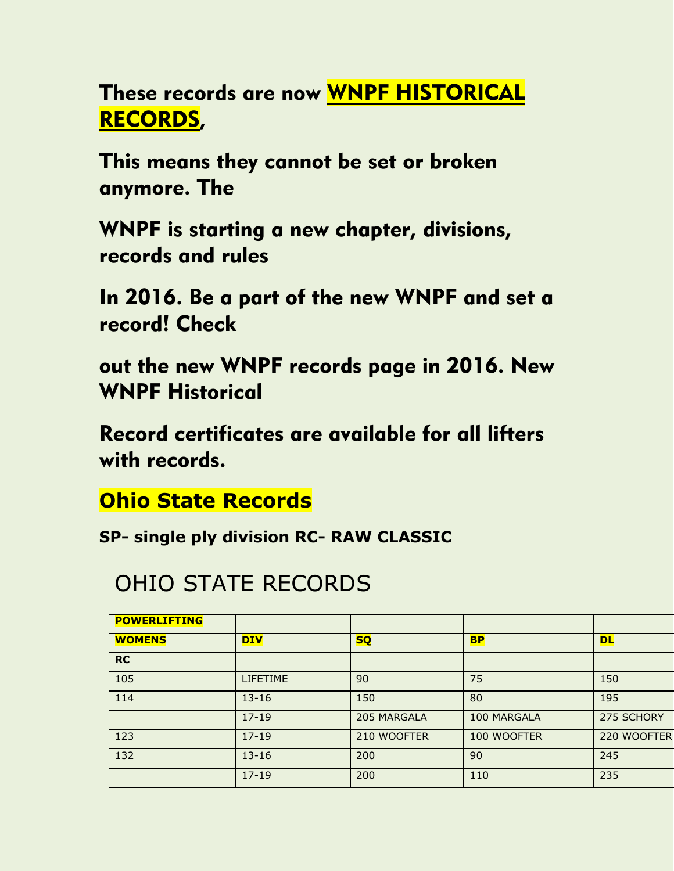These records are now WNPF HISTORICAL RECORDS,

This means they cannot be set or broken anymore. The

WNPF is starting a new chapter, divisions, records and rules

In 2016. Be a part of the new WNPF and set a record! Check

out the new WNPF records page in 2016. New WNPF Historical

Record certificates are available for all lifters with records.

**Ohio State Records**

**SP- single ply division RC- RAW CLASSIC**

## OHIO STATE RECORDS

| <b>POWERLIFTING</b> |                 |             |             |             |
|---------------------|-----------------|-------------|-------------|-------------|
| <b>WOMENS</b>       | <b>DIV</b>      | <b>SQ</b>   | <b>BP</b>   | <b>DL</b>   |
| <b>RC</b>           |                 |             |             |             |
| 105                 | <b>LIFETIME</b> | 90          | 75          | 150         |
| 114                 | $13 - 16$       | 150         | 80          | 195         |
|                     | $17 - 19$       | 205 MARGALA | 100 MARGALA | 275 SCHORY  |
| 123                 | $17 - 19$       | 210 WOOFTER | 100 WOOFTER | 220 WOOFTER |
| 132                 | $13 - 16$       | 200         | 90          | 245         |
|                     | $17 - 19$       | 200         | 110         | 235         |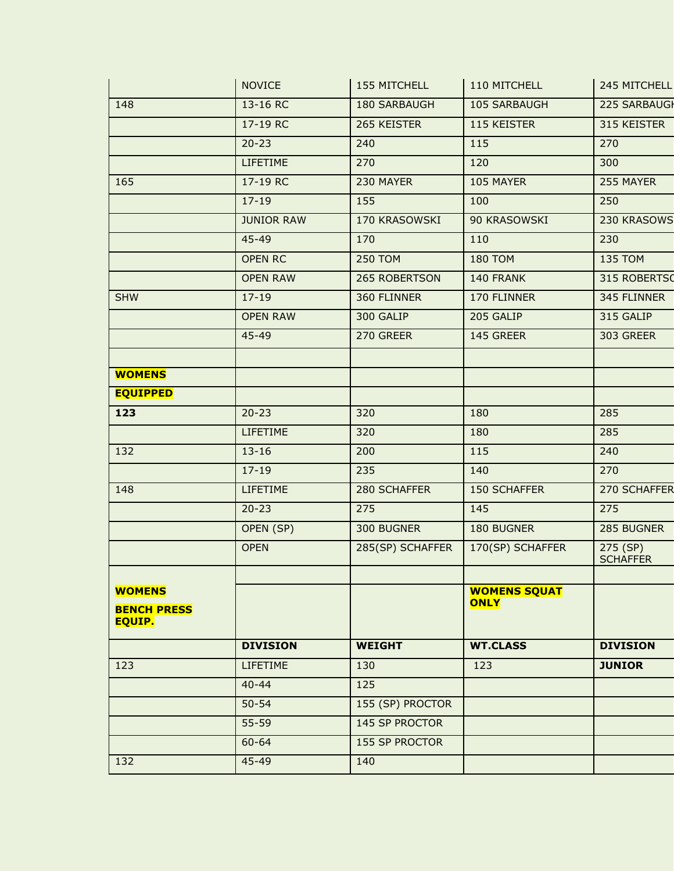|                    | <b>NOVICE</b>     | 155 MITCHELL          | 110 MITCHELL        | 245 MITCHELL    |
|--------------------|-------------------|-----------------------|---------------------|-----------------|
| 148                | 13-16 RC          | 180 SARBAUGH          | 105 SARBAUGH        | 225 SARBAUGI    |
|                    | 17-19 RC          | 265 KEISTER           | 115 KEISTER         | 315 KEISTER     |
|                    | $20 - 23$         | 240                   | 115                 | 270             |
|                    | LIFETIME          | 270                   | 120                 | 300             |
| 165                | 17-19 RC          | 230 MAYER             | 105 MAYER           | 255 MAYER       |
|                    | $17 - 19$         | 155                   | 100                 | 250             |
|                    | <b>JUNIOR RAW</b> | 170 KRASOWSKI         | 90 KRASOWSKI        | 230 KRASOWS     |
|                    | 45-49             | 170                   | 110                 | 230             |
|                    | <b>OPEN RC</b>    | <b>250 TOM</b>        | <b>180 TOM</b>      | <b>135 TOM</b>  |
|                    | <b>OPEN RAW</b>   | 265 ROBERTSON         | 140 FRANK           | 315 ROBERTSO    |
| <b>SHW</b>         | $17 - 19$         | 360 FLINNER           | 170 FLINNER         | 345 FLINNER     |
|                    | <b>OPEN RAW</b>   | 300 GALIP             | 205 GALIP           | 315 GALIP       |
|                    | 45-49             | 270 GREER             | 145 GREER           | 303 GREER       |
|                    |                   |                       |                     |                 |
| <b>WOMENS</b>      |                   |                       |                     |                 |
| <b>EQUIPPED</b>    |                   |                       |                     |                 |
| 123                | $20 - 23$         | 320                   | 180                 | 285             |
|                    | LIFETIME          | 320                   | 180                 | 285             |
| 132                | $13 - 16$         | 200                   | 115                 | 240             |
|                    | $17 - 19$         | 235                   | 140                 | 270             |
| 148                | LIFETIME          | 280 SCHAFFER          | <b>150 SCHAFFER</b> | 270 SCHAFFER    |
|                    | $20 - 23$         | 275                   | 145                 | 275             |
|                    | OPEN (SP)         | 300 BUGNER            | 180 BUGNER          | 285 BUGNER      |
|                    | <b>OPEN</b>       | 285(SP) SCHAFFER      | 170(SP) SCHAFFER    | 275 (SP)        |
|                    |                   |                       |                     | <b>SCHAFFER</b> |
| <b>WOMENS</b>      |                   |                       | <b>WOMENS SQUAT</b> |                 |
| <b>BENCH PRESS</b> |                   |                       | <b>ONLY</b>         |                 |
| <b>EQUIP.</b>      |                   |                       |                     |                 |
|                    | <b>DIVISION</b>   | <b>WEIGHT</b>         | <b>WT.CLASS</b>     | <b>DIVISION</b> |
| 123                | LIFETIME          | 130                   | 123                 | <b>JUNIOR</b>   |
|                    | $40 - 44$         | 125                   |                     |                 |
|                    | $50 - 54$         | 155 (SP) PROCTOR      |                     |                 |
|                    | $55 - 59$         | 145 SP PROCTOR        |                     |                 |
|                    | $60 - 64$         | <b>155 SP PROCTOR</b> |                     |                 |
| 132                | 45-49             | 140                   |                     |                 |
|                    |                   |                       |                     |                 |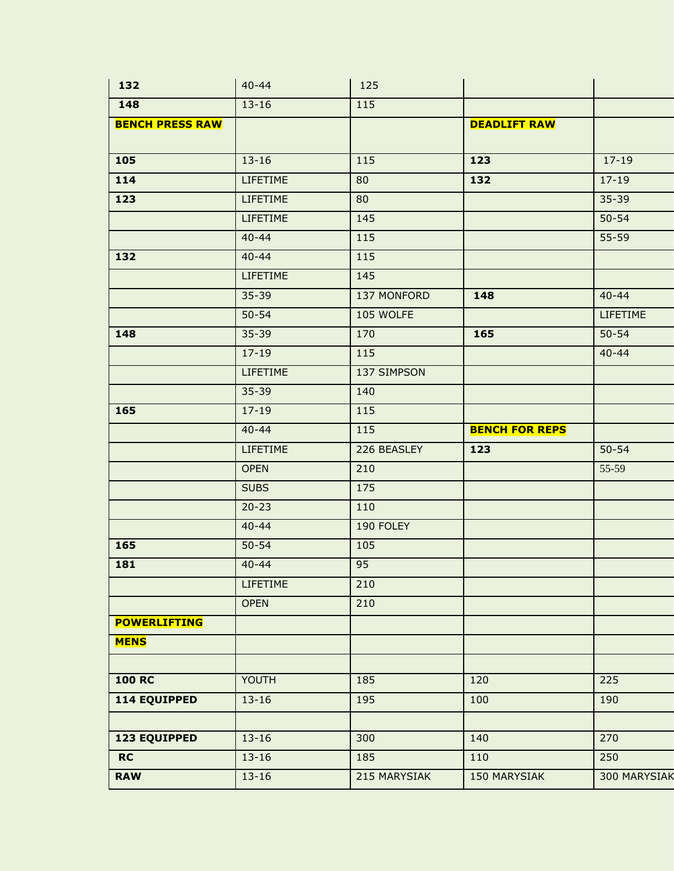| 132                    | $40 - 44$       | 125         |                       |                 |
|------------------------|-----------------|-------------|-----------------------|-----------------|
| 148                    | $13 - 16$       | 115         |                       |                 |
| <b>BENCH PRESS RAW</b> |                 |             | <b>DEADLIFT RAW</b>   |                 |
|                        |                 |             |                       |                 |
| 105                    | $13 - 16$       | 115         | 123                   | $17 - 19$       |
| 114                    | <b>LIFETIME</b> | 80          | 132                   | $17 - 19$       |
| 123                    | <b>LIFETIME</b> | 80          |                       | $35 - 39$       |
|                        | <b>LIFETIME</b> | 145         |                       | $50 - 54$       |
|                        | $40 - 44$       | 115         |                       | $55 - 59$       |
| 132                    | $40 - 44$       | 115         |                       |                 |
|                        | <b>LIFETIME</b> | 145         |                       |                 |
|                        | $35 - 39$       | 137 MONFORD | 148                   | $40 - 44$       |
|                        | $50 - 54$       | 105 WOLFE   |                       | <b>LIFETIME</b> |
| 148                    | $35 - 39$       | 170         | 165                   | $50 - 54$       |
|                        | $17 - 19$       | 115         |                       | $40 - 44$       |
|                        | <b>LIFETIME</b> | 137 SIMPSON |                       |                 |
|                        | $35 - 39$       | 140         |                       |                 |
| 165                    | $17 - 19$       | 115         |                       |                 |
|                        | $40 - 44$       | 115         | <b>BENCH FOR REPS</b> |                 |
|                        | <b>LIFETIME</b> | 226 BEASLEY | 123                   | $50 - 54$       |
|                        | <b>OPEN</b>     | 210         |                       | 55-59           |
|                        | <b>SUBS</b>     | 175         |                       |                 |
|                        | $20 - 23$       | 110         |                       |                 |
|                        | $40 - 44$       | 190 FOLEY   |                       |                 |
| 165                    | $50 - 54$       | 105         |                       |                 |
| 181                    | $40 - 44$       | 95          |                       |                 |
|                        | LIFETIME        | 210         |                       |                 |
|                        | <b>OPEN</b>     | 210         |                       |                 |
| <b>POWERLIFTING</b>    |                 |             |                       |                 |
| <b>MENS</b>            |                 |             |                       |                 |
|                        |                 |             |                       |                 |
| <b>100 RC</b>          | YOUTH           | 185         | 120                   | 225             |
| <b>114 EQUIPPED</b>    | $13 - 16$       | 195         | 100                   | 190             |
|                        |                 |             |                       |                 |
| <b>123 EQUIPPED</b>    | $13 - 16$       | 300         | 140                   | 270             |
|                        |                 |             |                       |                 |
| RC                     | $13 - 16$       | 185         | 110                   | 250             |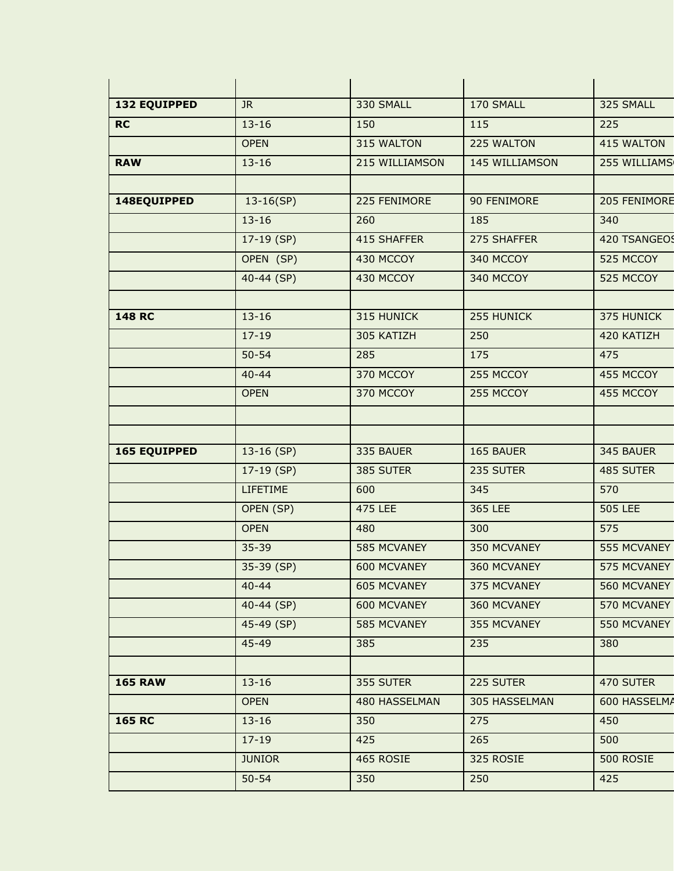| <b>132 EQUIPPED</b> | JR.           | 330 SMALL          | 170 SMALL      | 325 SMALL        |
|---------------------|---------------|--------------------|----------------|------------------|
| <b>RC</b>           | $13 - 16$     | 150                | 115            | 225              |
|                     | <b>OPEN</b>   | 315 WALTON         | 225 WALTON     | 415 WALTON       |
| <b>RAW</b>          | $13 - 16$     | 215 WILLIAMSON     | 145 WILLIAMSON | 255 WILLIAMS     |
|                     |               |                    |                |                  |
| 148EQUIPPED         | $13-16(SP)$   | 225 FENIMORE       | 90 FENIMORE    | 205 FENIMORE     |
|                     | $13 - 16$     | 260                | 185            | 340              |
|                     | $17-19$ (SP)  | 415 SHAFFER        | 275 SHAFFER    | 420 TSANGEOS     |
|                     | OPEN (SP)     | 430 MCCOY          | 340 MCCOY      | 525 MCCOY        |
|                     | 40-44 (SP)    | 430 MCCOY          | 340 MCCOY      | 525 MCCOY        |
|                     |               |                    |                |                  |
| <b>148 RC</b>       | $13 - 16$     | 315 HUNICK         | 255 HUNICK     | 375 HUNICK       |
|                     | $17 - 19$     | 305 KATIZH         | 250            | 420 KATIZH       |
|                     | $50 - 54$     | 285                | 175            | 475              |
|                     | $40 - 44$     | 370 MCCOY          | 255 MCCOY      | 455 MCCOY        |
|                     | <b>OPEN</b>   | 370 MCCOY          | 255 MCCOY      | 455 MCCOY        |
|                     |               |                    |                |                  |
| <b>165 EQUIPPED</b> | $13-16$ (SP)  | 335 BAUER          | 165 BAUER      | 345 BAUER        |
|                     | $17-19$ (SP)  | 385 SUTER          | 235 SUTER      | 485 SUTER        |
|                     | LIFETIME      | 600                | 345            | 570              |
|                     | OPEN (SP)     | 475 LEE            | 365 LEE        | <b>505 LEE</b>   |
|                     | <b>OPEN</b>   | 480                | 300            | 575              |
|                     | $35 - 39$     | 585 MCVANEY        | 350 MCVANEY    | 555 MCVANEY      |
|                     | 35-39 (SP)    | 600 MCVANEY        | 360 MCVANEY    | 575 MCVANEY      |
|                     | $40 - 44$     | <b>605 MCVANEY</b> | 375 MCVANEY    | 560 MCVANEY      |
|                     | 40-44 (SP)    | 600 MCVANEY        | 360 MCVANEY    | 570 MCVANEY      |
|                     | 45-49 (SP)    | 585 MCVANEY        | 355 MCVANEY    | 550 MCVANEY      |
|                     | 45-49         | 385                | 235            | 380              |
|                     |               |                    |                |                  |
| <b>165 RAW</b>      | $13 - 16$     | 355 SUTER          | 225 SUTER      | 470 SUTER        |
|                     | <b>OPEN</b>   | 480 HASSELMAN      | 305 HASSELMAN  | 600 HASSELMA     |
| <b>165 RC</b>       | $13 - 16$     | 350                | 275            | 450              |
|                     | $17 - 19$     | 425                | 265            | 500              |
|                     | <b>JUNIOR</b> | 465 ROSIE          | 325 ROSIE      | <b>500 ROSIE</b> |
|                     | $50 - 54$     | 350                | 250            | 425              |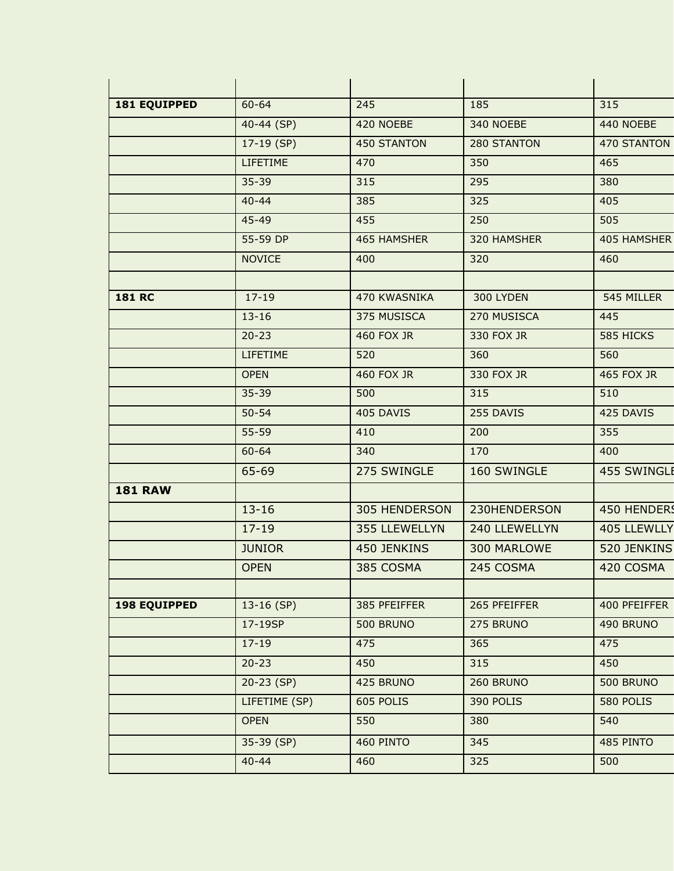| <b>181 EQUIPPED</b> | $60 - 64$       | 245                  | 185           | 315              |
|---------------------|-----------------|----------------------|---------------|------------------|
|                     | 40-44 (SP)      | 420 NOEBE            | 340 NOEBE     | 440 NOEBE        |
|                     | $17-19$ (SP)    | <b>450 STANTON</b>   | 280 STANTON   | 470 STANTON      |
|                     | <b>LIFETIME</b> | 470                  | 350           | 465              |
|                     | $35 - 39$       | 315                  | 295           | 380              |
|                     | $40 - 44$       | 385                  | 325           | 405              |
|                     | 45-49           | 455                  | 250           | 505              |
|                     | 55-59 DP        | <b>465 HAMSHER</b>   | 320 HAMSHER   | 405 HAMSHER      |
|                     | <b>NOVICE</b>   | 400                  | 320           | 460              |
|                     |                 |                      |               |                  |
| <b>181 RC</b>       | $17 - 19$       | 470 KWASNIKA         | 300 LYDEN     | 545 MILLER       |
|                     | $13 - 16$       | 375 MUSISCA          | 270 MUSISCA   | 445              |
|                     | $20 - 23$       | <b>460 FOX JR</b>    | 330 FOX JR    | 585 HICKS        |
|                     | <b>LIFETIME</b> | 520                  | 360           | 560              |
|                     | <b>OPEN</b>     | <b>460 FOX JR</b>    | 330 FOX JR    | 465 FOX JR       |
|                     | $35 - 39$       | 500                  | 315           | 510              |
|                     | $50 - 54$       | 405 DAVIS            | 255 DAVIS     | 425 DAVIS        |
|                     | $55 - 59$       | 410                  | 200           | 355              |
|                     | $60 - 64$       | 340                  | 170           | 400              |
|                     | 65-69           | 275 SWINGLE          | 160 SWINGLE   | 455 SWINGLE      |
| <b>181 RAW</b>      |                 |                      |               |                  |
|                     | $13 - 16$       | <b>305 HENDERSON</b> | 230HENDERSON  | 450 HENDERS      |
|                     | $17 - 19$       | 355 LLEWELLYN        | 240 LLEWELLYN | 405 LLEWLLY      |
|                     | <b>JUNIOR</b>   | 450 JENKINS          | 300 MARLOWE   | 520 JENKINS      |
|                     | <b>OPEN</b>     | 385 COSMA            | 245 COSMA     | 420 COSMA        |
|                     |                 |                      |               |                  |
| <b>198 EQUIPPED</b> | $13-16$ (SP)    | 385 PFEIFFER         | 265 PFEIFFER  | 400 PFEIFFER     |
|                     | 17-19SP         | 500 BRUNO            | 275 BRUNO     | 490 BRUNO        |
|                     | $17 - 19$       | 475                  | 365           | 475              |
|                     | $20 - 23$       | 450                  | 315           | 450              |
|                     | $20-23(SP)$     | 425 BRUNO            | 260 BRUNO     | <b>500 BRUNO</b> |
|                     | LIFETIME (SP)   | 605 POLIS            | 390 POLIS     | 580 POLIS        |
|                     | <b>OPEN</b>     | 550                  | 380           | 540              |
|                     | 35-39 (SP)      | 460 PINTO            | 345           | 485 PINTO        |
|                     | $40 - 44$       | 460                  | 325           | 500              |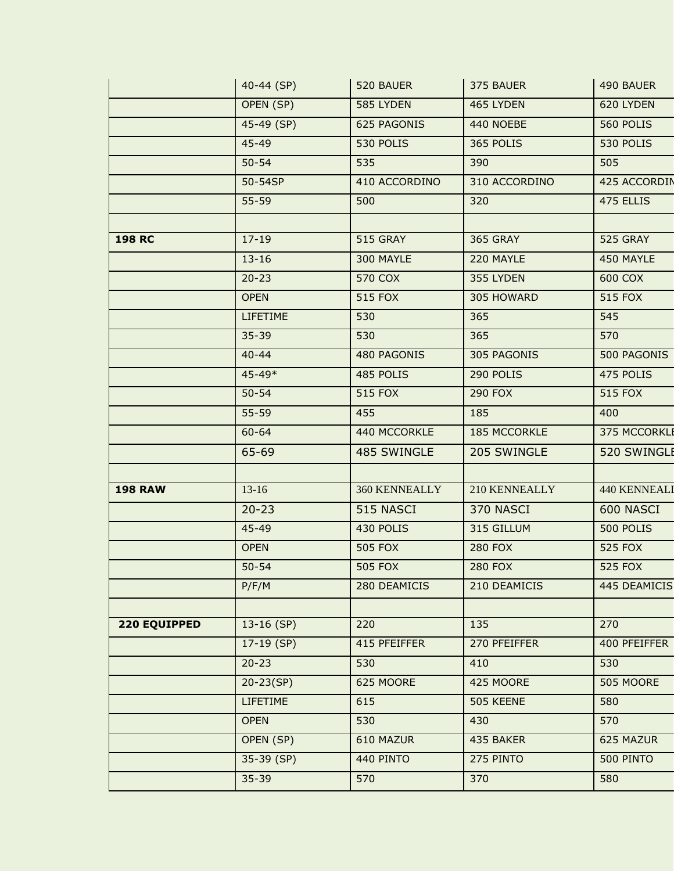|                | 40-44 (SP)      | 520 BAUER       | 375 BAUER      | 490 BAUER           |
|----------------|-----------------|-----------------|----------------|---------------------|
|                | OPEN (SP)       | 585 LYDEN       | 465 LYDEN      | 620 LYDEN           |
|                | 45-49 (SP)      | 625 PAGONIS     | 440 NOEBE      | 560 POLIS           |
|                | 45-49           | 530 POLIS       | 365 POLIS      | 530 POLIS           |
|                | $50 - 54$       | 535             | 390            | 505                 |
|                | 50-54SP         | 410 ACCORDINO   | 310 ACCORDINO  | 425 ACCORDIN        |
|                | $55 - 59$       | 500             | 320            | 475 ELLIS           |
|                |                 |                 |                |                     |
| <b>198 RC</b>  | $17 - 19$       | <b>515 GRAY</b> | 365 GRAY       | 525 GRAY            |
|                | $13 - 16$       | 300 MAYLE       | 220 MAYLE      | 450 MAYLE           |
|                | $20 - 23$       | 570 COX         | 355 LYDEN      | 600 COX             |
|                | <b>OPEN</b>     | 515 FOX         | 305 HOWARD     | <b>515 FOX</b>      |
|                | <b>LIFETIME</b> | 530             | 365            | 545                 |
|                | $35 - 39$       | 530             | 365            | 570                 |
|                | $40 - 44$       | 480 PAGONIS     | 305 PAGONIS    | 500 PAGONIS         |
|                | 45-49*          | 485 POLIS       | 290 POLIS      | 475 POLIS           |
|                | $50 - 54$       | 515 FOX         | <b>290 FOX</b> | 515 FOX             |
|                | $55 - 59$       | 455             | 185            | 400                 |
|                | $60 - 64$       | 440 MCCORKLE    | 185 MCCORKLE   | 375 MCCORKLI        |
|                | 65-69           | 485 SWINGLE     | 205 SWINGLE    | 520 SWINGLE         |
| <b>198 RAW</b> | $13-16$         | 360 KENNEALLY   | 210 KENNEALLY  | <b>440 KENNEALI</b> |
|                | $20 - 23$       | 515 NASCI       | 370 NASCI      | 600 NASCI           |
|                | 45-49           | 430 POLIS       | 315 GILLUM     | 500 POLIS           |
|                | <b>OPEN</b>     | <b>505 FOX</b>  | <b>280 FOX</b> | <b>525 FOX</b>      |
|                | $50 - 54$       | <b>505 FOX</b>  | <b>280 FOX</b> | <b>525 FOX</b>      |
|                | P/F/M           | 280 DEAMICIS    | 210 DEAMICIS   | 445 DEAMICIS        |
|                |                 |                 |                |                     |
| 220 EQUIPPED   | $13-16$ (SP)    | 220             | 135            | 270                 |
|                | $17-19$ (SP)    | 415 PFEIFFER    | 270 PFEIFFER   | 400 PFEIFFER        |
|                | $20 - 23$       | 530             | 410            | 530                 |
|                | $20 - 23(SP)$   | 625 MOORE       | 425 MOORE      | 505 MOORE           |
|                | <b>LIFETIME</b> | 615             | 505 KEENE      | 580                 |
|                | <b>OPEN</b>     | 530             | 430            | 570                 |
|                | OPEN (SP)       | 610 MAZUR       | 435 BAKER      | 625 MAZUR           |
|                | 35-39 (SP)      | 440 PINTO       | 275 PINTO      | 500 PINTO           |
|                | $35 - 39$       | 570             | 370            | 580                 |
|                |                 |                 |                |                     |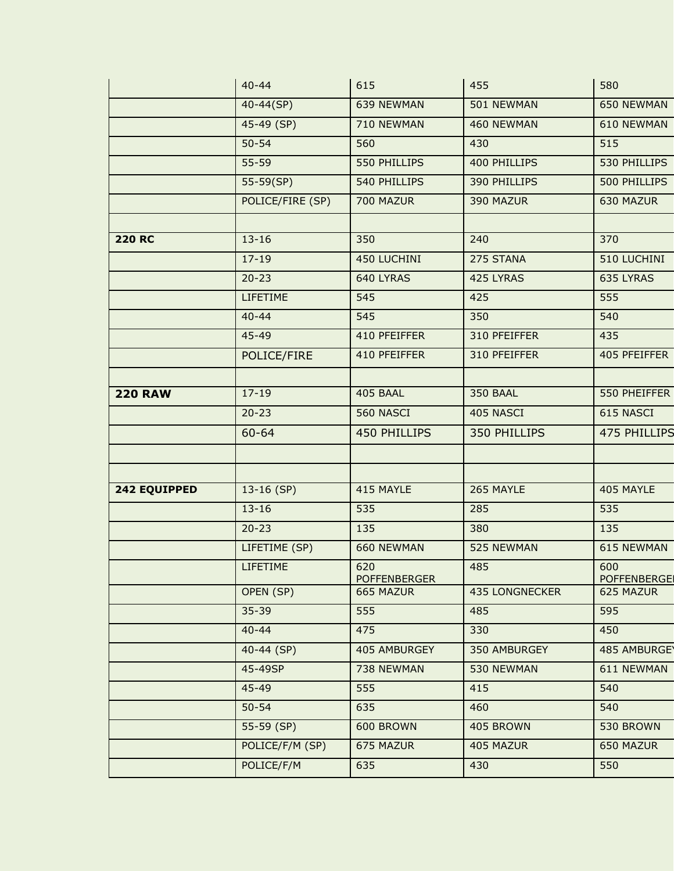|                | $40 - 44$        | 615                        | 455                   | 580                       |
|----------------|------------------|----------------------------|-----------------------|---------------------------|
|                | 40-44(SP)        | 639 NEWMAN                 | 501 NEWMAN            | 650 NEWMAN                |
|                | 45-49 (SP)       | 710 NEWMAN                 | 460 NEWMAN            | 610 NEWMAN                |
|                | $50 - 54$        | 560                        | 430                   | 515                       |
|                | $55 - 59$        | 550 PHILLIPS               | 400 PHILLIPS          | 530 PHILLIPS              |
|                | $55-59(SP)$      | 540 PHILLIPS               | 390 PHILLIPS          | 500 PHILLIPS              |
|                | POLICE/FIRE (SP) | 700 MAZUR                  | 390 MAZUR             | 630 MAZUR                 |
|                |                  |                            |                       |                           |
| <b>220 RC</b>  | $13 - 16$        | 350                        | 240                   | 370                       |
|                | $17 - 19$        | 450 LUCHINI                | 275 STANA             | 510 LUCHINI               |
|                | $20 - 23$        | 640 LYRAS                  | 425 LYRAS             | 635 LYRAS                 |
|                | <b>LIFETIME</b>  | 545                        | 425                   | 555                       |
|                | $40 - 44$        | 545                        | 350                   | 540                       |
|                | 45-49            | 410 PFEIFFER               | 310 PFEIFFER          | 435                       |
|                | POLICE/FIRE      | 410 PFEIFFER               | 310 PFEIFFER          | 405 PFEIFFER              |
|                |                  |                            |                       |                           |
| <b>220 RAW</b> | $17 - 19$        | 405 BAAL                   | <b>350 BAAL</b>       | 550 PHEIFFER              |
|                | $20 - 23$        | 560 NASCI                  | 405 NASCI             | 615 NASCI                 |
|                | 60-64            | 450 PHILLIPS               | 350 PHILLIPS          | 475 PHILLIPS              |
|                |                  |                            |                       |                           |
|                |                  |                            |                       |                           |
| 242 EQUIPPED   | $13-16$ (SP)     | 415 MAYLE                  | 265 MAYLE             | 405 MAYLE                 |
|                | $13 - 16$        | 535                        | 285                   | 535                       |
|                | $20 - 23$        | 135                        | 380                   | 135                       |
|                | LIFETIME (SP)    | 660 NEWMAN                 | 525 NEWMAN            | 615 NEWMAN                |
|                | <b>LIFETIME</b>  | 620<br><b>POFFENBERGER</b> | 485                   | 600<br><b>POFFENBERGE</b> |
|                | OPEN (SP)        | 665 MAZUR                  | <b>435 LONGNECKER</b> | 625 MAZUR                 |
|                | $35 - 39$        | 555                        | 485                   | 595                       |
|                | $40 - 44$        | 475                        | 330                   | 450                       |
|                | $40 - 44$ (SP)   | 405 AMBURGEY               | 350 AMBURGEY          | 485 AMBURGE               |
|                | 45-49SP          | 738 NEWMAN                 | 530 NEWMAN            | 611 NEWMAN                |
|                | 45-49            | 555                        | 415                   | 540                       |
|                | $50 - 54$        | 635                        | 460                   | 540                       |
|                | 55-59 (SP)       | 600 BROWN                  | 405 BROWN             | 530 BROWN                 |
|                | POLICE/F/M (SP)  | 675 MAZUR                  | 405 MAZUR             | 650 MAZUR                 |
|                | POLICE/F/M       | 635                        | 430                   | 550                       |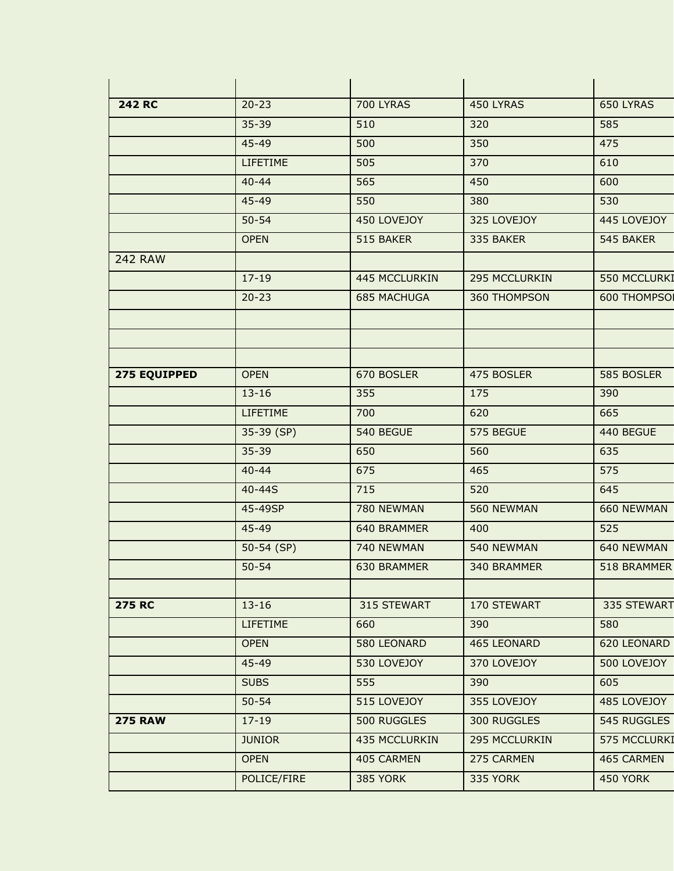| <b>242 RC</b>  | $20 - 23$       | <b>700 LYRAS</b>   | 450 LYRAS          | 650 LYRAS       |
|----------------|-----------------|--------------------|--------------------|-----------------|
|                | 35-39           | 510                | 320                | 585             |
|                | 45-49           | 500                | 350                | 475             |
|                | <b>LIFETIME</b> | 505                | 370                | 610             |
|                | $40 - 44$       | 565                | 450                | 600             |
|                | 45-49           | 550                | 380                | 530             |
|                | $50 - 54$       | 450 LOVEJOY        | 325 LOVEJOY        | 445 LOVEJOY     |
|                | <b>OPEN</b>     | 515 BAKER          | 335 BAKER          | 545 BAKER       |
| <b>242 RAW</b> |                 |                    |                    |                 |
|                | $17 - 19$       | 445 MCCLURKIN      | 295 MCCLURKIN      | 550 MCCLURKI    |
|                | $20 - 23$       | <b>685 MACHUGA</b> | 360 THOMPSON       | 600 THOMPSO     |
|                |                 |                    |                    |                 |
|                |                 |                    |                    |                 |
|                |                 |                    |                    |                 |
| 275 EQUIPPED   | <b>OPEN</b>     | 670 BOSLER         | 475 BOSLER         | 585 BOSLER      |
|                | $13 - 16$       | 355                | 175                | 390             |
|                | <b>LIFETIME</b> | 700                | 620                | 665             |
|                | 35-39 (SP)      | 540 BEGUE          | 575 BEGUE          | 440 BEGUE       |
|                | $35 - 39$       | 650                | 560                | 635             |
|                | $40 - 44$       | 675                | 465                | 575             |
|                | 40-44S          | 715                | 520                | 645             |
|                | 45-49SP         | 780 NEWMAN         | 560 NEWMAN         | 660 NEWMAN      |
|                | 45-49           | 640 BRAMMER        | 400                | 525             |
|                | $50-54$ (SP)    | 740 NEWMAN         | 540 NEWMAN         | 640 NEWMAN      |
|                | $50 - 54$       | 630 BRAMMER        | 340 BRAMMER        | 518 BRAMMER     |
|                |                 |                    |                    |                 |
| <b>275 RC</b>  | $13 - 16$       | 315 STEWART        | 170 STEWART        | 335 STEWART     |
|                | <b>LIFETIME</b> | 660                | 390                | 580             |
|                | <b>OPEN</b>     | 580 LEONARD        | <b>465 LEONARD</b> | 620 LEONARD     |
|                | 45-49           | 530 LOVEJOY        | 370 LOVEJOY        | 500 LOVEJOY     |
|                | <b>SUBS</b>     | 555                | 390                | 605             |
|                | $50 - 54$       | 515 LOVEJOY        | 355 LOVEJOY        | 485 LOVEJOY     |
| <b>275 RAW</b> | $17 - 19$       | 500 RUGGLES        | 300 RUGGLES        | 545 RUGGLES     |
|                | <b>JUNIOR</b>   | 435 MCCLURKIN      | 295 MCCLURKIN      | 575 MCCLURKI    |
|                | <b>OPEN</b>     | 405 CARMEN         | 275 CARMEN         | 465 CARMEN      |
|                | POLICE/FIRE     | 385 YORK           | 335 YORK           | <b>450 YORK</b> |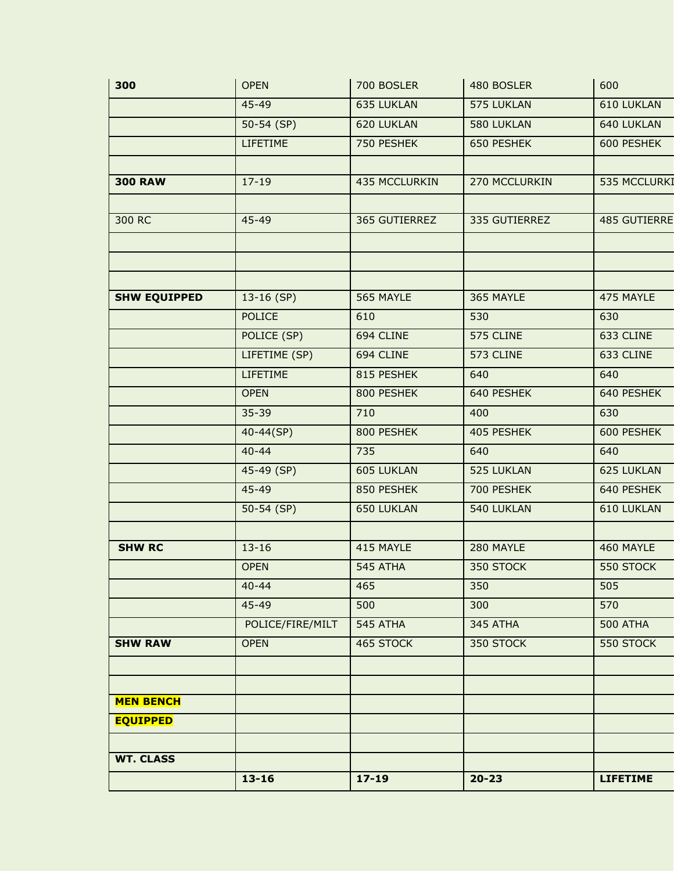|                                     | $13 - 16$        | $17 - 19$     | $20 - 23$     | <b>LIFETIME</b> |
|-------------------------------------|------------------|---------------|---------------|-----------------|
| <b>WT. CLASS</b>                    |                  |               |               |                 |
|                                     |                  |               |               |                 |
| <b>MEN BENCH</b><br><b>EQUIPPED</b> |                  |               |               |                 |
|                                     |                  |               |               |                 |
|                                     |                  |               |               |                 |
| <b>SHW RAW</b>                      | <b>OPEN</b>      | 465 STOCK     | 350 STOCK     | 550 STOCK       |
|                                     | POLICE/FIRE/MILT | 545 ATHA      | 345 ATHA      | <b>500 ATHA</b> |
|                                     | $45 - 49$        | 500           | 300           | 570             |
|                                     | $40 - 44$        | 465           | 350           | 505             |
|                                     | <b>OPEN</b>      | 545 ATHA      | 350 STOCK     | 550 STOCK       |
| <b>SHW RC</b>                       | $13 - 16$        | 415 MAYLE     | 280 MAYLE     | 460 MAYLE       |
|                                     |                  |               |               |                 |
|                                     | $50-54$ (SP)     | 650 LUKLAN    | 540 LUKLAN    | 610 LUKLAN      |
|                                     | $45 - 49$        | 850 PESHEK    | 700 PESHEK    | 640 PESHEK      |
|                                     | 45-49 (SP)       | 605 LUKLAN    | 525 LUKLAN    | 625 LUKLAN      |
|                                     | $40 - 44$        | 735           | 640           | 640             |
|                                     | $40 - 44(SP)$    | 800 PESHEK    | 405 PESHEK    | 600 PESHEK      |
|                                     | $35 - 39$        | 710           | 400           | 630             |
|                                     | <b>OPEN</b>      | 800 PESHEK    | 640 PESHEK    | 640 PESHEK      |
|                                     | <b>LIFETIME</b>  | 815 PESHEK    | 640           | 640             |
|                                     | LIFETIME (SP)    | 694 CLINE     | 573 CLINE     | 633 CLINE       |
|                                     | POLICE (SP)      | 694 CLINE     | 575 CLINE     | 633 CLINE       |
|                                     | <b>POLICE</b>    | 610           | 530           | 630             |
| <b>SHW EQUIPPED</b>                 | $13-16$ (SP)     | 565 MAYLE     | 365 MAYLE     | 475 MAYLE       |
|                                     |                  |               |               |                 |
|                                     |                  |               |               |                 |
| 300 RC                              | 45-49            | 365 GUTIERREZ | 335 GUTIERREZ | 485 GUTIERRE    |
|                                     |                  |               |               |                 |
| <b>300 RAW</b>                      | $17 - 19$        | 435 MCCLURKIN | 270 MCCLURKIN | 535 MCCLURKI    |
|                                     | <b>LIFETIME</b>  | 750 PESHEK    | 650 PESHEK    | 600 PESHEK      |
|                                     | $50-54$ (SP)     | 620 LUKLAN    | 580 LUKLAN    | 640 LUKLAN      |
|                                     | 45-49            | 635 LUKLAN    | 575 LUKLAN    | 610 LUKLAN      |
|                                     |                  |               |               |                 |
| 300                                 | <b>OPEN</b>      | 700 BOSLER    | 480 BOSLER    | 600             |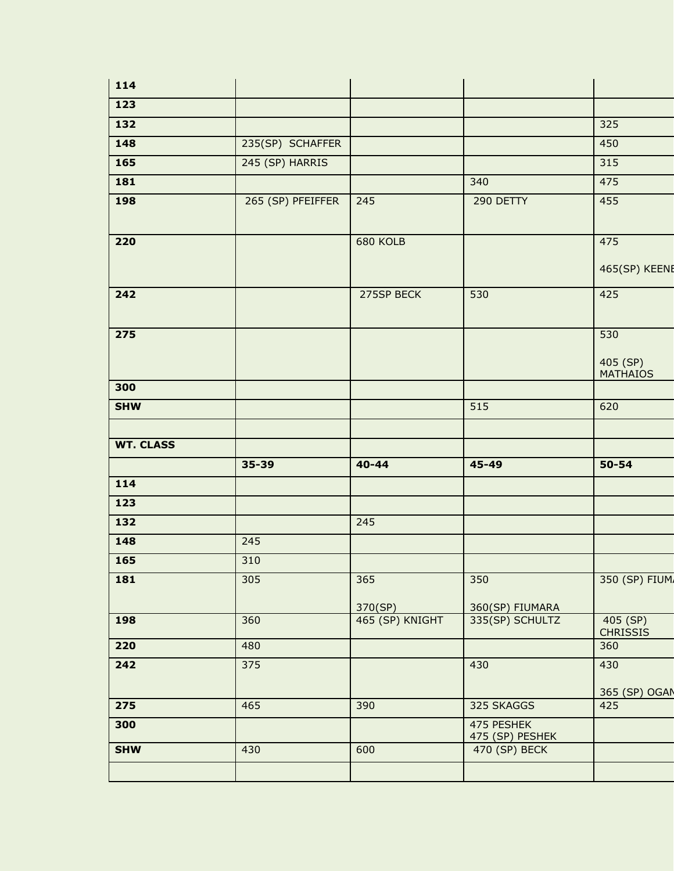| 114                       |                   |                            |                                    |                                    |
|---------------------------|-------------------|----------------------------|------------------------------------|------------------------------------|
| $\frac{123}{ }$           |                   |                            |                                    |                                    |
| 132                       |                   |                            |                                    | 325                                |
| 148                       | 235(SP) SCHAFFER  |                            |                                    | 450                                |
| $\frac{165}{ }$           | 245 (SP) HARRIS   |                            |                                    | 315                                |
| 181                       |                   |                            | 340                                | 475                                |
| 198                       | 265 (SP) PFEIFFER | 245                        | 290 DETTY                          | 455                                |
| 220                       |                   | 680 KOLB                   |                                    | 475<br>465(SP) KEENE               |
| 242                       |                   | 275SP BECK                 | 530                                | 425                                |
| $\frac{1}{275}$           |                   |                            |                                    | 530<br>405 (SP)<br><b>MATHAIOS</b> |
| 300                       |                   |                            |                                    |                                    |
| <b>SHW</b>                |                   |                            | 515                                | 620                                |
| <b>WT. CLASS</b>          |                   |                            |                                    |                                    |
|                           | 35-39             | $40 - 44$                  | 45-49                              | $50 - 54$                          |
|                           |                   |                            |                                    |                                    |
| 114                       |                   |                            |                                    |                                    |
| 123                       |                   |                            |                                    |                                    |
| 132                       |                   | 245                        |                                    |                                    |
| 148                       | 245               |                            |                                    |                                    |
| 165                       | 310               |                            |                                    |                                    |
| 181                       | 305               | 365                        | 350                                |                                    |
| 198                       | 360               | 370(SP)<br>465 (SP) KNIGHT | 360(SP) FIUMARA<br>335(SP) SCHULTZ | 405 (SP)                           |
| 220                       | 480               |                            |                                    | <b>CHRISSIS</b><br>360             |
| $\overline{242}$          | 375               |                            | 430                                | 430                                |
| $\overline{\mathbf{275}}$ | 465               | 390                        | 325 SKAGGS                         | 425                                |
| 300                       |                   |                            | 475 PESHEK                         | 350 (SP) FIUM<br>365 (SP) OGAN     |
| <b>SHW</b>                | 430               | 600                        | 475 (SP) PESHEK<br>470 (SP) BECK   |                                    |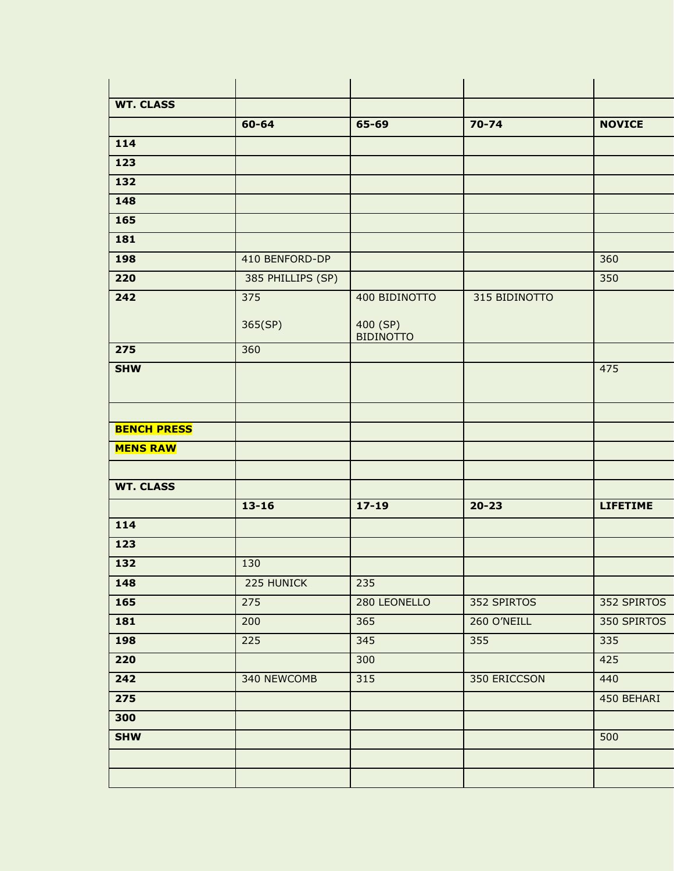| <b>WT. CLASS</b>          |                   |                              |               |                 |
|---------------------------|-------------------|------------------------------|---------------|-----------------|
|                           | 60-64             | 65-69                        | $70 - 74$     | <b>NOVICE</b>   |
| 114                       |                   |                              |               |                 |
| 123                       |                   |                              |               |                 |
| 132                       |                   |                              |               |                 |
| 148                       |                   |                              |               |                 |
| 165                       |                   |                              |               |                 |
| 181                       |                   |                              |               |                 |
| 198                       | 410 BENFORD-DP    |                              |               | 360             |
| 220                       | 385 PHILLIPS (SP) |                              |               | 350             |
| 242                       | $\frac{1}{375}$   | 400 BIDINOTTO                | 315 BIDINOTTO |                 |
|                           | 365(SP)           | 400 (SP)<br><b>BIDINOTTO</b> |               |                 |
| 275                       | 360               |                              |               |                 |
| <b>SHW</b>                |                   |                              |               | 475             |
|                           |                   |                              |               |                 |
| <b>BENCH PRESS</b>        |                   |                              |               |                 |
| <b>MENS RAW</b>           |                   |                              |               |                 |
|                           |                   |                              |               |                 |
| <b>WT. CLASS</b>          |                   |                              |               |                 |
|                           | $13 - 16$         | $17 - 19$                    | $20 - 23$     | <b>LIFETIME</b> |
| 114                       |                   |                              |               |                 |
| 123                       |                   |                              |               |                 |
| 132                       | 130               |                              |               |                 |
| 148                       | 225 HUNICK        | 235                          |               |                 |
| <b>165</b>                | 275               | 280 LEONELLO                 | 352 SPIRTOS   | 352 SPIRTOS     |
| 181                       | 200               | 365                          | 260 O'NEILL   | 350 SPIRTOS     |
| 198                       | 225               | 345                          | 355           | 335             |
| 220                       |                   | 300                          |               | 425             |
| $\overline{242}$          | 340 NEWCOMB       | 315                          | 350 ERICCSON  | 440             |
| $\overline{\mathbf{275}}$ |                   |                              |               | 450 BEHARI      |
| 300                       |                   |                              |               |                 |
| <b>SHW</b>                |                   |                              |               | 500             |
|                           |                   |                              |               |                 |
|                           |                   |                              |               |                 |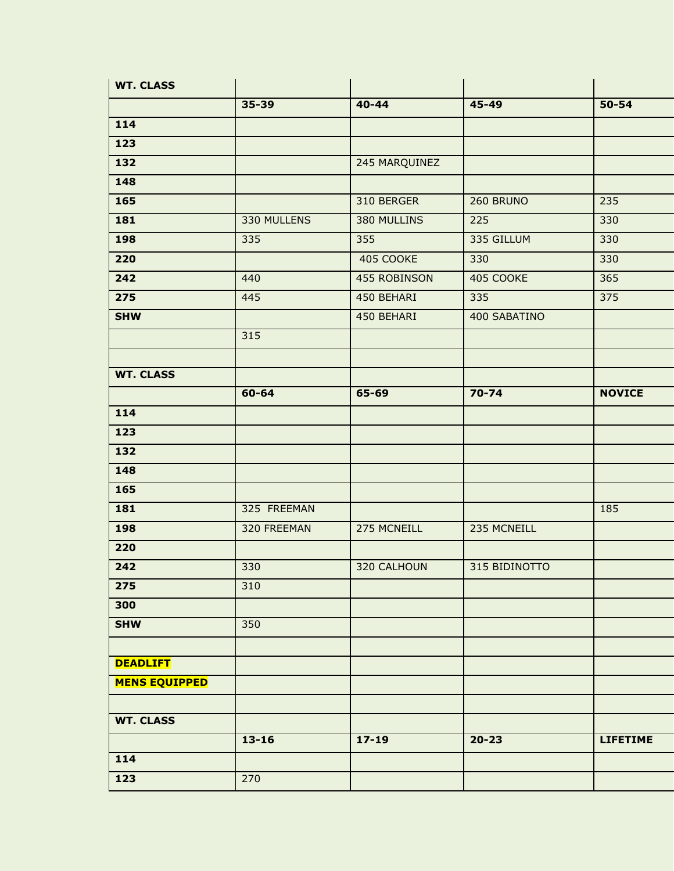| <b>WT. CLASS</b>     |             |               |               |                 |
|----------------------|-------------|---------------|---------------|-----------------|
|                      | 35-39       | $40 - 44$     | 45-49         | 50-54           |
| 114                  |             |               |               |                 |
| 123                  |             |               |               |                 |
| 132                  |             | 245 MARQUINEZ |               |                 |
| 148                  |             |               |               |                 |
| <b>165</b>           |             | 310 BERGER    | 260 BRUNO     | 235             |
| 181                  | 330 MULLENS | 380 MULLINS   | 225           | 330             |
| 198                  | 335         | 355           | 335 GILLUM    | 330             |
| 220                  |             | 405 COOKE     | 330           | 330             |
| 242                  | 440         | 455 ROBINSON  | 405 COOKE     | 365             |
| 275                  | 445         | 450 BEHARI    | 335           | 375             |
| <b>SHW</b>           |             | 450 BEHARI    | 400 SABATINO  |                 |
|                      | 315         |               |               |                 |
|                      |             |               |               |                 |
| <b>WT. CLASS</b>     |             |               |               |                 |
|                      | $60 - 64$   | 65-69         | $70 - 74$     | <b>NOVICE</b>   |
| 114                  |             |               |               |                 |
| 123                  |             |               |               |                 |
| 132                  |             |               |               |                 |
| 148                  |             |               |               |                 |
| 165                  |             |               |               |                 |
| 181                  | 325 FREEMAN |               |               | 185             |
| 198                  | 320 FREEMAN | 275 MCNEILL   | 235 MCNEILL   |                 |
| 220                  |             |               |               |                 |
| $\boxed{242}$        | 330         | 320 CALHOUN   | 315 BIDINOTTO |                 |
| 275                  | 310         |               |               |                 |
| 300                  |             |               |               |                 |
| <b>SHW</b>           | 350         |               |               |                 |
|                      |             |               |               |                 |
| <b>DEADLIFT</b>      |             |               |               |                 |
| <b>MENS EQUIPPED</b> |             |               |               |                 |
|                      |             |               |               |                 |
| <b>WT. CLASS</b>     |             |               |               |                 |
|                      | $13 - 16$   | $17 - 19$     | $20 - 23$     | <b>LIFETIME</b> |
| 114                  |             |               |               |                 |
| 123                  | 270         |               |               |                 |
|                      |             |               |               |                 |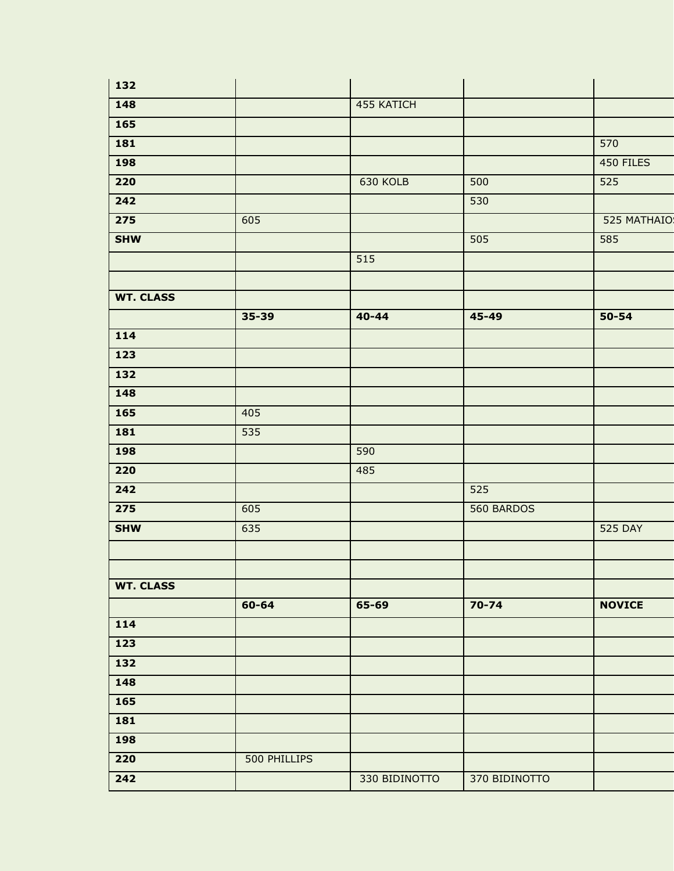| 132                       |              |               |               |                |
|---------------------------|--------------|---------------|---------------|----------------|
| 148                       |              | 455 KATICH    |               |                |
| <b>165</b>                |              |               |               |                |
| 181                       |              |               |               | 570            |
| <b>198</b>                |              |               |               | 450 FILES      |
| 220                       |              | 630 KOLB      | 500           | 525            |
| $\overline{242}$          |              |               | 530           |                |
| $\overline{\mathbf{275}}$ | 605          |               |               | 525 MATHAIO    |
| <b>SHW</b>                |              |               | 505           | 585            |
|                           |              | 515           |               |                |
|                           |              |               |               |                |
| <b>WT. CLASS</b>          |              |               |               |                |
|                           | 35-39        | $40 - 44$     | 45-49         | $50 - 54$      |
| 114                       |              |               |               |                |
| 123                       |              |               |               |                |
| 132                       |              |               |               |                |
| 148                       |              |               |               |                |
| $\frac{165}{ }$           | 405          |               |               |                |
| 181                       | 535          |               |               |                |
| 198                       |              | 590           |               |                |
| 220                       |              | 485           |               |                |
| 242                       |              |               | 525           |                |
| 275                       | 605          |               | 560 BARDOS    |                |
| <b>SHW</b>                | 635          |               |               | <b>525 DAY</b> |
|                           |              |               |               |                |
| <b>WT. CLASS</b>          |              |               |               |                |
|                           | 60-64        | 65-69         | $70 - 74$     | <b>NOVICE</b>  |
| 114                       |              |               |               |                |
| $\overline{123}$          |              |               |               |                |
| 132                       |              |               |               |                |
| 148                       |              |               |               |                |
| $\frac{165}{ }$           |              |               |               |                |
| 181                       |              |               |               |                |
| 198                       |              |               |               |                |
| 220                       | 500 PHILLIPS |               |               |                |
| $\boxed{242}$             |              | 330 BIDINOTTO | 370 BIDINOTTO |                |
|                           |              |               |               |                |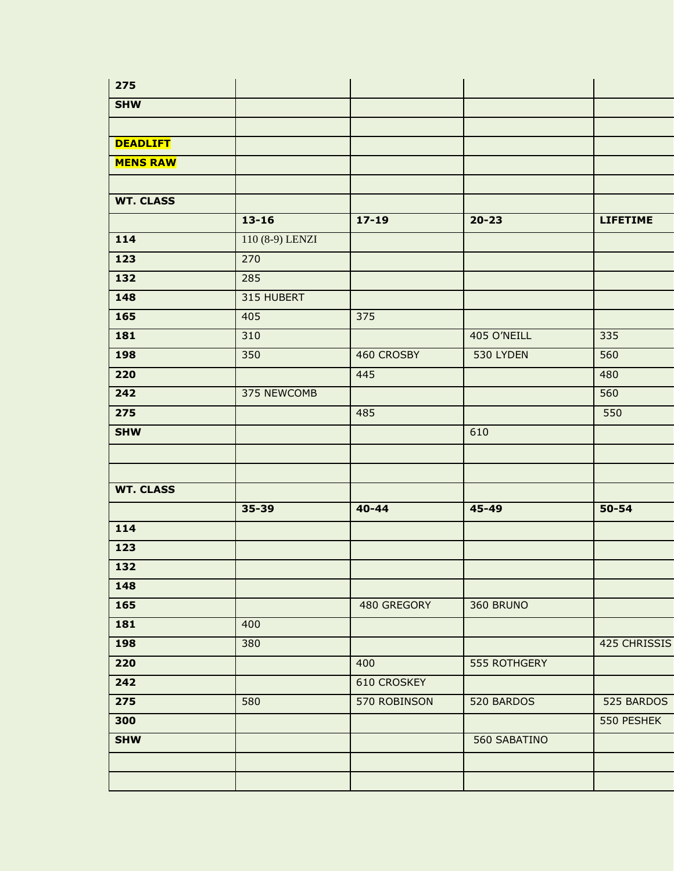| 275              |                 |                    |              |                 |
|------------------|-----------------|--------------------|--------------|-----------------|
| <b>SHW</b>       |                 |                    |              |                 |
|                  |                 |                    |              |                 |
| <b>DEADLIFT</b>  |                 |                    |              |                 |
| <b>MENS RAW</b>  |                 |                    |              |                 |
| <b>WT. CLASS</b> |                 |                    |              |                 |
|                  | $13 - 16$       | $17 - 19$          | $20 - 23$    | <b>LIFETIME</b> |
| 114              | 110 (8-9) LENZI |                    |              |                 |
| 123              | 270             |                    |              |                 |
| 132              | 285             |                    |              |                 |
| 148              | 315 HUBERT      |                    |              |                 |
| 165              | 405             | 375                |              |                 |
| 181              | 310             |                    | 405 O'NEILL  | 335             |
| 198              | 350             | 460 CROSBY         | 530 LYDEN    | 560             |
| 220              |                 | 445                |              | 480             |
| $\overline{242}$ | 375 NEWCOMB     |                    |              | 560             |
| 275              |                 | 485                |              | 550             |
| <b>SHW</b>       |                 |                    | 610          |                 |
|                  |                 |                    |              |                 |
| <b>WT. CLASS</b> |                 |                    |              |                 |
|                  | 35-39           | $40 - 44$          | 45-49        | 50-54           |
| 114              |                 |                    |              |                 |
| 123              |                 |                    |              |                 |
| 132              |                 |                    |              |                 |
| 148              |                 |                    |              |                 |
| 165              |                 | 480 GREGORY        | 360 BRUNO    |                 |
| 181              | 400             |                    |              |                 |
| 198              | 380             |                    |              | 425 CHRISSIS    |
| 220              |                 | 400                | 555 ROTHGERY |                 |
| 242              |                 | <b>610 CROSKEY</b> |              |                 |
| $\frac{1}{275}$  | 580             | 570 ROBINSON       | 520 BARDOS   | 525 BARDOS      |
| 300              |                 |                    |              | 550 PESHEK      |
| <b>SHW</b>       |                 |                    | 560 SABATINO |                 |
|                  |                 |                    |              |                 |
|                  |                 |                    |              |                 |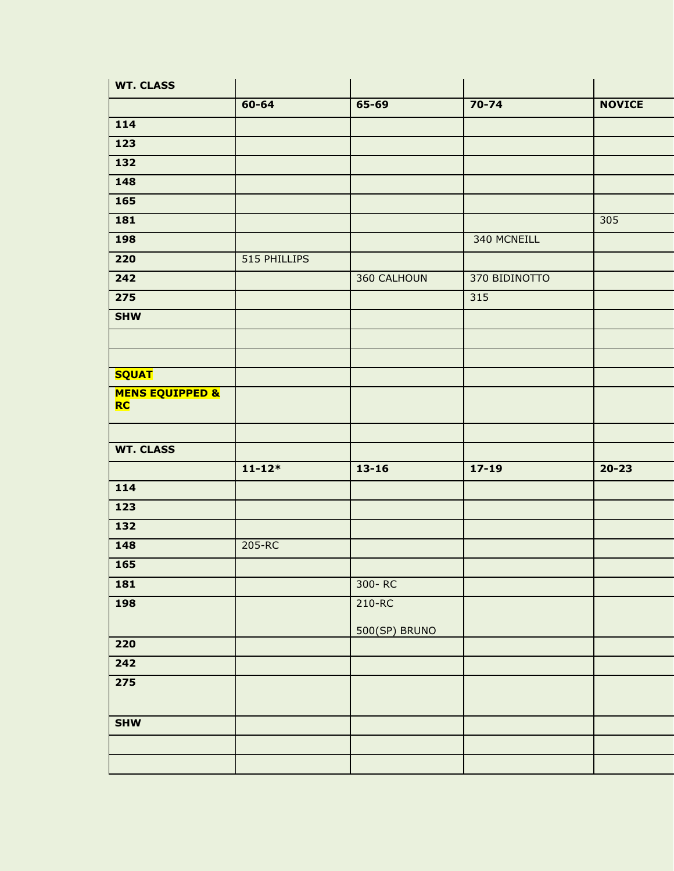| <b>WT. CLASS</b>                        |              |               |               |               |
|-----------------------------------------|--------------|---------------|---------------|---------------|
|                                         | 60-64        | 65-69         | $70 - 74$     | <b>NOVICE</b> |
| 114                                     |              |               |               |               |
| 123                                     |              |               |               |               |
| 132                                     |              |               |               |               |
| 148                                     |              |               |               |               |
| 165                                     |              |               |               |               |
| 181                                     |              |               |               | 305           |
| 198                                     |              |               | 340 MCNEILL   |               |
| 220                                     | 515 PHILLIPS |               |               |               |
| $\overline{242}$                        |              | 360 CALHOUN   | 370 BIDINOTTO |               |
| $\overline{\mathbf{275}}$               |              |               | 315           |               |
| <b>SHW</b>                              |              |               |               |               |
|                                         |              |               |               |               |
|                                         |              |               |               |               |
| <b>SQUAT</b>                            |              |               |               |               |
| <b>MENS EQUIPPED &amp;</b><br><b>RC</b> |              |               |               |               |
| <b>WT. CLASS</b>                        |              |               |               |               |
|                                         | $11 - 12*$   | $13 - 16$     |               | $20 - 23$     |
|                                         |              |               | $17 - 19$     |               |
| $\frac{114}{114}$                       |              |               |               |               |
| 123                                     |              |               |               |               |
| 132                                     |              |               |               |               |
| 148                                     | $205 - RC$   |               |               |               |
| 165                                     |              |               |               |               |
| 181                                     |              | 300-RC        |               |               |
| <b>198</b>                              |              | $210 - RC$    |               |               |
|                                         |              | 500(SP) BRUNO |               |               |
| 220                                     |              |               |               |               |
| $\overline{242}$                        |              |               |               |               |
| $\overline{\mathbf{275}}$               |              |               |               |               |
|                                         |              |               |               |               |
| <b>SHW</b>                              |              |               |               |               |
|                                         |              |               |               |               |
|                                         |              |               |               |               |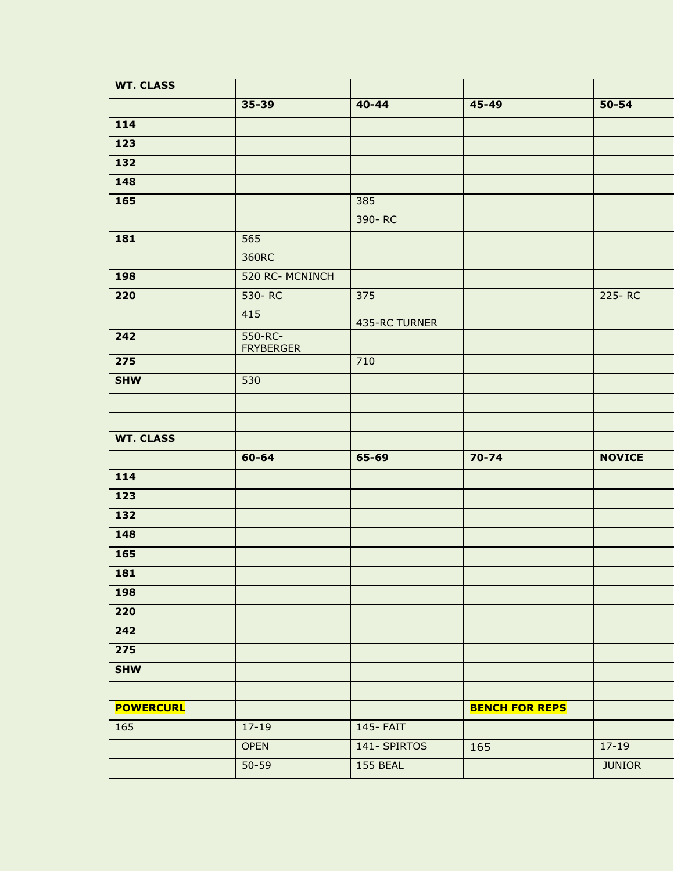| <b>WT. CLASS</b> |                             |                      |                       |               |
|------------------|-----------------------------|----------------------|-----------------------|---------------|
|                  | $35 - 39$                   | $40 - 44$            | 45-49                 | $50 - 54$     |
| 114              |                             |                      |                       |               |
| 123              |                             |                      |                       |               |
| $\frac{132}{ }$  |                             |                      |                       |               |
| 148              |                             |                      |                       |               |
| <b>165</b>       |                             | 385<br>390-RC        |                       |               |
| 181              | 565<br>360RC                |                      |                       |               |
| <b>198</b>       | 520 RC- MCNINCH             |                      |                       |               |
| 220              | 530-RC<br>415               | 375<br>435-RC TURNER |                       | 225-RC        |
| 242              | 550-RC-<br><b>FRYBERGER</b> |                      |                       |               |
| 275              |                             | 710                  |                       |               |
| <b>SHW</b>       | 530                         |                      |                       |               |
|                  |                             |                      |                       |               |
| <b>WT. CLASS</b> |                             |                      |                       |               |
|                  | 60-64                       | 65-69                | $70 - 74$             | <b>NOVICE</b> |
| 114              |                             |                      |                       |               |
| 123              |                             |                      |                       |               |
| 132              |                             |                      |                       |               |
| 148              |                             |                      |                       |               |
| <b>165</b>       |                             |                      |                       |               |
| <b>181</b>       |                             |                      |                       |               |
| 198              |                             |                      |                       |               |
| 220              |                             |                      |                       |               |
| 242              |                             |                      |                       |               |
| 275              |                             |                      |                       |               |
| <b>SHW</b>       |                             |                      |                       |               |
| <b>POWERCURL</b> |                             |                      | <b>BENCH FOR REPS</b> |               |
| 165              | $17 - 19$                   | 145- FAIT            |                       |               |
|                  | <b>OPEN</b>                 | 141- SPIRTOS         | 165                   | $17-19$       |
|                  | $50 - 59$                   | 155 BEAL             |                       | <b>JUNIOR</b> |
|                  |                             |                      |                       |               |